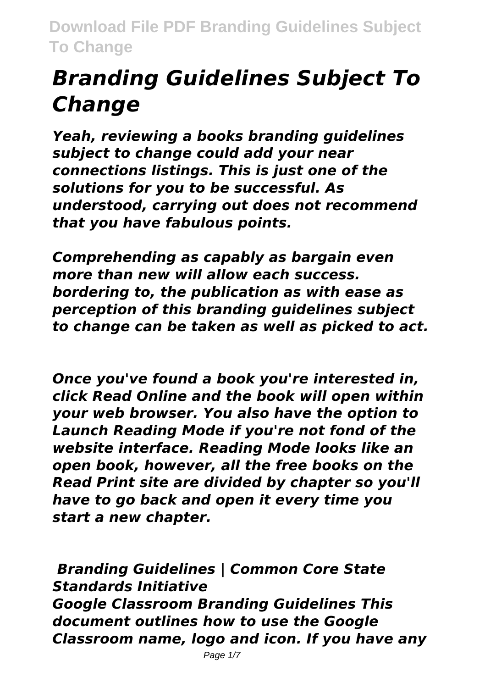# *Branding Guidelines Subject To Change*

*Yeah, reviewing a books branding guidelines subject to change could add your near connections listings. This is just one of the solutions for you to be successful. As understood, carrying out does not recommend that you have fabulous points.*

*Comprehending as capably as bargain even more than new will allow each success. bordering to, the publication as with ease as perception of this branding guidelines subject to change can be taken as well as picked to act.*

*Once you've found a book you're interested in, click Read Online and the book will open within your web browser. You also have the option to Launch Reading Mode if you're not fond of the website interface. Reading Mode looks like an open book, however, all the free books on the Read Print site are divided by chapter so you'll have to go back and open it every time you start a new chapter.*

*Branding Guidelines | Common Core State Standards Initiative Google Classroom Branding Guidelines This document outlines how to use the Google Classroom name, logo and icon. If you have any*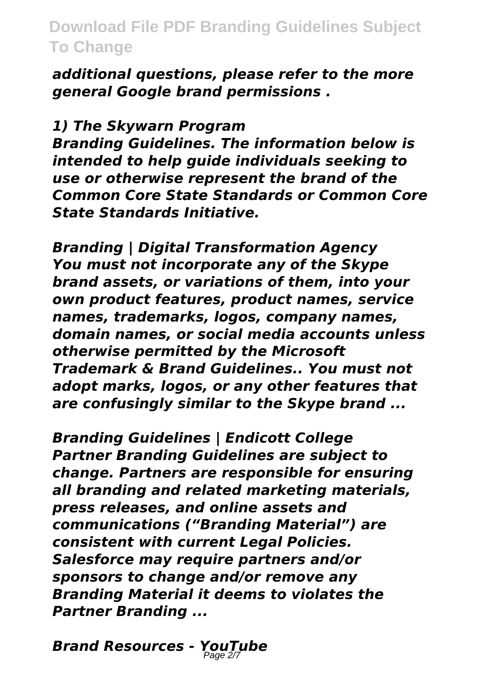*additional questions, please refer to the more general Google brand permissions .*

#### *1) The Skywarn Program*

*Branding Guidelines. The information below is intended to help guide individuals seeking to use or otherwise represent the brand of the Common Core State Standards or Common Core State Standards Initiative.*

*Branding | Digital Transformation Agency You must not incorporate any of the Skype brand assets, or variations of them, into your own product features, product names, service names, trademarks, logos, company names, domain names, or social media accounts unless otherwise permitted by the Microsoft Trademark & Brand Guidelines.. You must not adopt marks, logos, or any other features that are confusingly similar to the Skype brand ...*

*Branding Guidelines | Endicott College Partner Branding Guidelines are subject to change. Partners are responsible for ensuring all branding and related marketing materials, press releases, and online assets and communications ("Branding Material") are consistent with current Legal Policies. Salesforce may require partners and/or sponsors to change and/or remove any Branding Material it deems to violates the Partner Branding ...*

*Brand Resources - YouTube* Page 2/7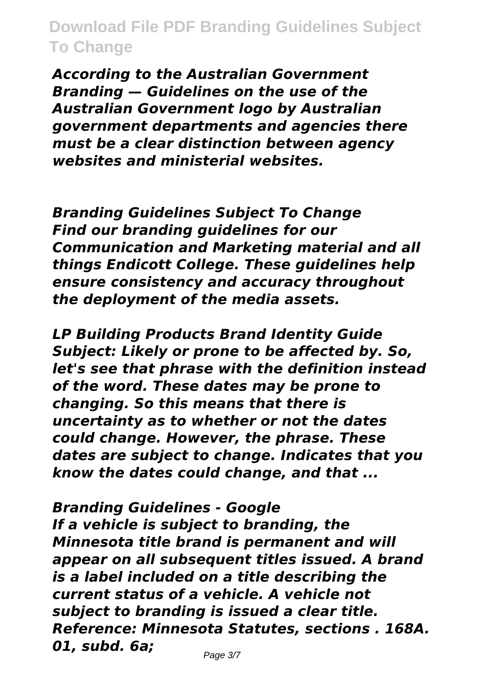*According to the Australian Government Branding — Guidelines on the use of the Australian Government logo by Australian government departments and agencies there must be a clear distinction between agency websites and ministerial websites.*

*Branding Guidelines Subject To Change Find our branding guidelines for our Communication and Marketing material and all things Endicott College. These guidelines help ensure consistency and accuracy throughout the deployment of the media assets.*

*LP Building Products Brand Identity Guide Subject: Likely or prone to be affected by. So, let's see that phrase with the definition instead of the word. These dates may be prone to changing. So this means that there is uncertainty as to whether or not the dates could change. However, the phrase. These dates are subject to change. Indicates that you know the dates could change, and that ...*

*Branding Guidelines - Google If a vehicle is subject to branding, the Minnesota title brand is permanent and will appear on all subsequent titles issued. A brand is a label included on a title describing the current status of a vehicle. A vehicle not subject to branding is issued a clear title. Reference: Minnesota Statutes, sections . 168A. 01, subd. 6a;*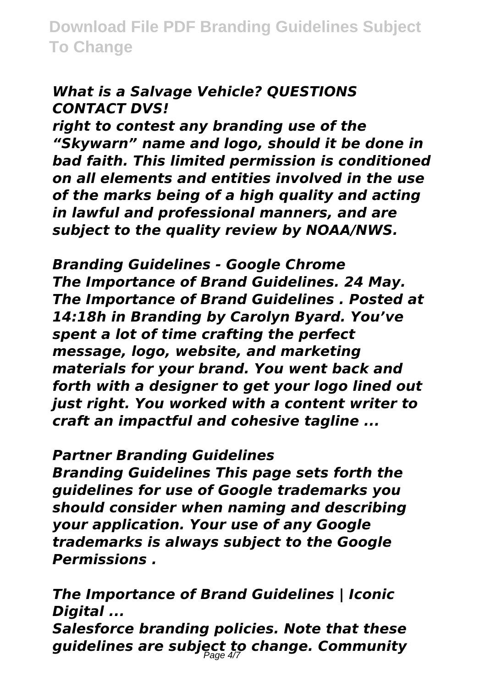## *What is a Salvage Vehicle? QUESTIONS CONTACT DVS!*

*right to contest any branding use of the "Skywarn" name and logo, should it be done in bad faith. This limited permission is conditioned on all elements and entities involved in the use of the marks being of a high quality and acting in lawful and professional manners, and are subject to the quality review by NOAA/NWS.*

*Branding Guidelines - Google Chrome The Importance of Brand Guidelines. 24 May. The Importance of Brand Guidelines . Posted at 14:18h in Branding by Carolyn Byard. You've spent a lot of time crafting the perfect message, logo, website, and marketing materials for your brand. You went back and forth with a designer to get your logo lined out just right. You worked with a content writer to craft an impactful and cohesive tagline ...*

## *Partner Branding Guidelines*

*Branding Guidelines This page sets forth the guidelines for use of Google trademarks you should consider when naming and describing your application. Your use of any Google trademarks is always subject to the Google Permissions .*

*The Importance of Brand Guidelines | Iconic Digital ... Salesforce branding policies. Note that these guidelines are subject to change. Community* Page 4/7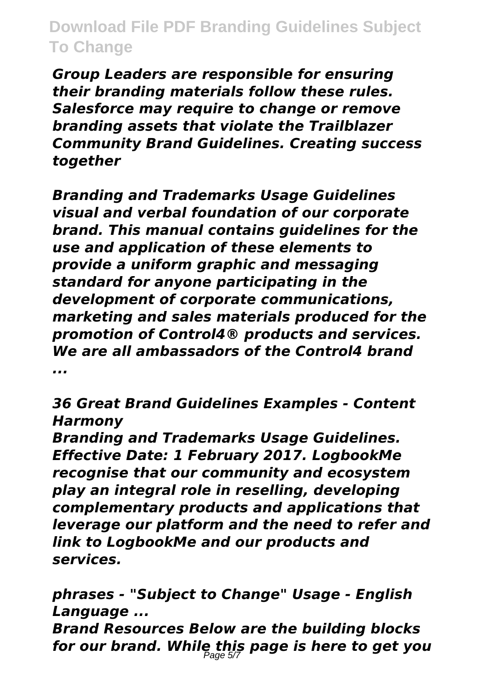*Group Leaders are responsible for ensuring their branding materials follow these rules. Salesforce may require to change or remove branding assets that violate the Trailblazer Community Brand Guidelines. Creating success together*

*Branding and Trademarks Usage Guidelines visual and verbal foundation of our corporate brand. This manual contains guidelines for the use and application of these elements to provide a uniform graphic and messaging standard for anyone participating in the development of corporate communications, marketing and sales materials produced for the promotion of Control4® products and services. We are all ambassadors of the Control4 brand ...*

*36 Great Brand Guidelines Examples - Content Harmony*

*Branding and Trademarks Usage Guidelines. Effective Date: 1 February 2017. LogbookMe recognise that our community and ecosystem play an integral role in reselling, developing complementary products and applications that leverage our platform and the need to refer and link to LogbookMe and our products and services.*

*phrases - "Subject to Change" Usage - English Language ...*

*Brand Resources Below are the building blocks for our brand. While this page is here to get you* Page 5/7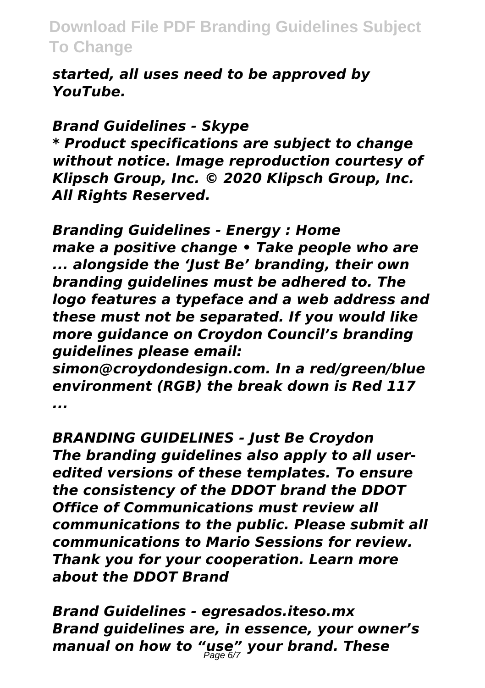*started, all uses need to be approved by YouTube.*

#### *Brand Guidelines - Skype*

*\* Product specifications are subject to change without notice. Image reproduction courtesy of Klipsch Group, Inc. © 2020 Klipsch Group, Inc. All Rights Reserved.*

*Branding Guidelines - Energy : Home make a positive change • Take people who are ... alongside the 'Just Be' branding, their own branding guidelines must be adhered to. The logo features a typeface and a web address and these must not be separated. If you would like more guidance on Croydon Council's branding guidelines please email:*

*simon@croydondesign.com. In a red/green/blue environment (RGB) the break down is Red 117 ...*

*BRANDING GUIDELINES - Just Be Croydon The branding guidelines also apply to all useredited versions of these templates. To ensure the consistency of the DDOT brand the DDOT Office of Communications must review all communications to the public. Please submit all communications to Mario Sessions for review. Thank you for your cooperation. Learn more about the DDOT Brand*

*Brand Guidelines - egresados.iteso.mx Brand guidelines are, in essence, your owner's manual on how to "use" your brand. These* Page 6/7